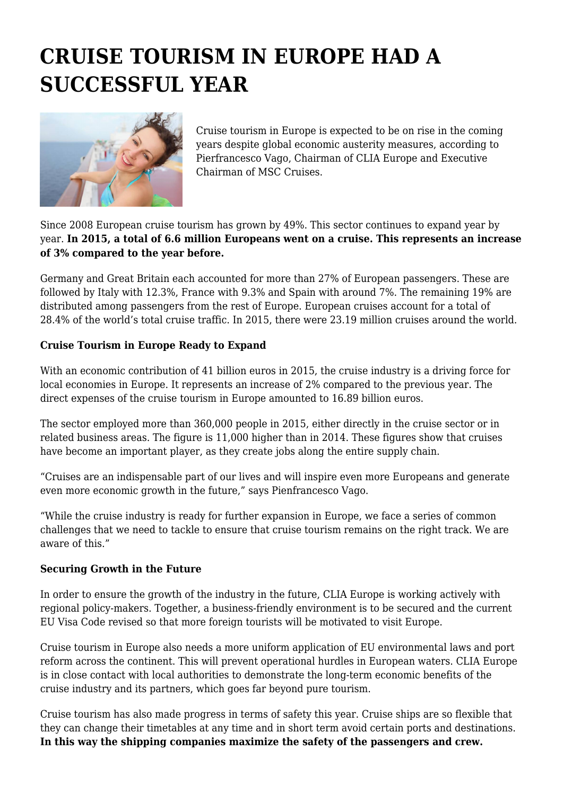## **CRUISE TOURISM IN EUROPE HAD A SUCCESSFUL YEAR**



Cruise tourism in Europe is expected to be on rise in the coming years despite global economic austerity measures, according to Pierfrancesco Vago, Chairman of CLIA Europe and Executive Chairman of MSC Cruises.

Since 2008 European cruise tourism has grown by 49%. This sector continues to expand year by year. **In 2015, a total of 6.6 million Europeans went on a cruise. This represents an increase of 3% compared to the year before.**

Germany and Great Britain each accounted for more than 27% of European passengers. These are followed by Italy with 12.3%, France with 9.3% and Spain with around 7%. The remaining 19% are distributed among passengers from the rest of Europe. European cruises account for a total of 28.4% of the world's total cruise traffic. In 2015, there were 23.19 million cruises around the world.

## **Cruise Tourism in Europe Ready to Expand**

With an economic contribution of 41 billion euros in 2015, the cruise industry is a driving force for local economies in Europe. It represents an increase of 2% compared to the previous year. The direct expenses of the cruise tourism in Europe amounted to 16.89 billion euros.

The sector employed more than 360,000 people in 2015, either directly in the cruise sector or in related business areas. The figure is 11,000 higher than in 2014. These figures show that cruises have become an important player, as they create jobs along the entire supply chain.

"Cruises are an indispensable part of our lives and will inspire even more Europeans and generate even more economic growth in the future," says Pienfrancesco Vago.

"While the cruise industry is ready for further expansion in Europe, we face a series of common challenges that we need to tackle to ensure that cruise tourism remains on the right track. We are aware of this."

## **Securing Growth in the Future**

In order to ensure the growth of the industry in the future, CLIA Europe is working actively with regional policy-makers. Together, a business-friendly environment is to be secured and the current EU Visa Code revised so that more foreign tourists will be motivated to visit Europe.

Cruise tourism in Europe also needs a more uniform application of EU environmental laws and port reform across the continent. This will prevent operational hurdles in European waters. CLIA Europe is in close contact with local authorities to demonstrate the long-term economic benefits of the cruise industry and its partners, which goes far beyond pure tourism.

Cruise tourism has also made progress in terms of safety this year. Cruise ships are so flexible that they can change their timetables at any time and in short term avoid certain ports and destinations. **In this way the shipping companies maximize the safety of the passengers and crew.**